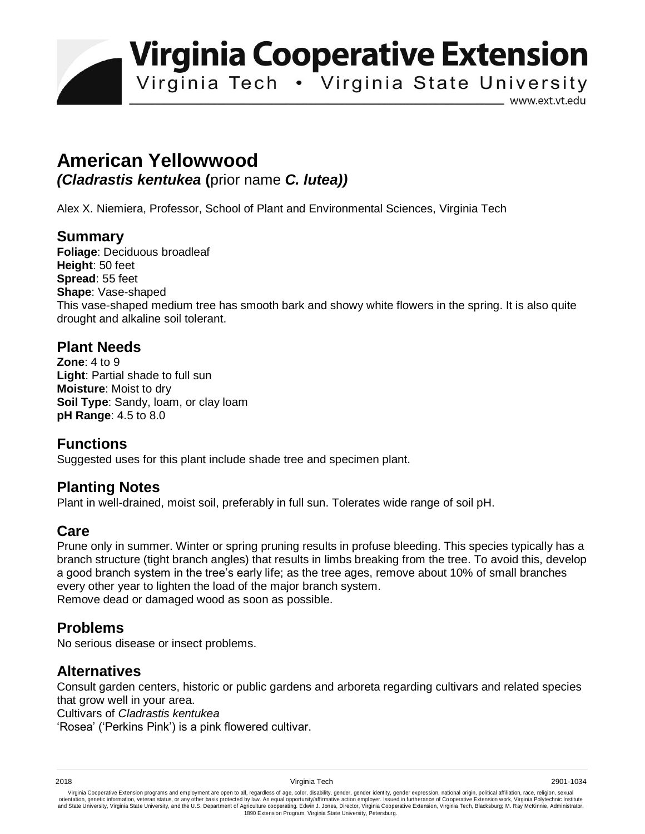**Virginia Cooperative Extension** 

Virginia Tech . Virginia State University

www.ext.vt.edu

# **American Yellowwood**

*(Cladrastis kentukea* **(**prior name *C. lutea))* 

Alex X. Niemiera, Professor, School of Plant and Environmental Sciences, Virginia Tech

#### **Summary**

**Foliage**: Deciduous broadleaf **Height**: 50 feet **Spread**: 55 feet **Shape**: Vase-shaped This vase-shaped medium tree has smooth bark and showy white flowers in the spring. It is also quite drought and alkaline soil tolerant.

## **Plant Needs**

**Zone**: 4 to 9 **Light**: Partial shade to full sun **Moisture**: Moist to dry **Soil Type**: Sandy, loam, or clay loam **pH Range**: 4.5 to 8.0

## **Functions**

Suggested uses for this plant include shade tree and specimen plant.

## **Planting Notes**

Plant in well-drained, moist soil, preferably in full sun. Tolerates wide range of soil pH.

## **Care**

Prune only in summer. Winter or spring pruning results in profuse bleeding. This species typically has a branch structure (tight branch angles) that results in limbs breaking from the tree. To avoid this, develop a good branch system in the tree's early life; as the tree ages, remove about 10% of small branches every other year to lighten the load of the major branch system. Remove dead or damaged wood as soon as possible.

#### **Problems**

No serious disease or insect problems.

#### **Alternatives**

Consult garden centers, historic or public gardens and arboreta regarding cultivars and related species that grow well in your area.

Cultivars of *Cladrastis kentukea*

'Rosea' ('Perkins Pink') is a pink flowered cultivar.